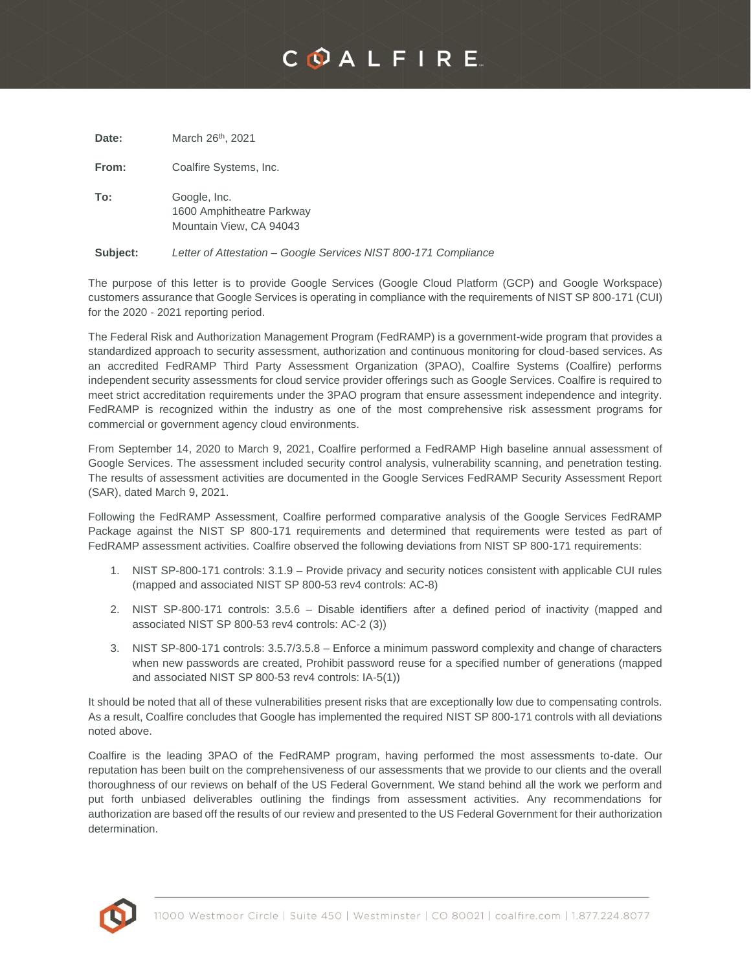## COALFIRE

| Date:    | March 26 <sup>th</sup> , 2021                                        |
|----------|----------------------------------------------------------------------|
| From:    | Coalfire Systems, Inc.                                               |
| To:      | Google, Inc.<br>1600 Amphitheatre Parkway<br>Mountain View, CA 94043 |
| Subject: | Letter of Attestation – Google Services NIST 800-171 Compliance      |

The purpose of this letter is to provide Google Services (Google Cloud Platform (GCP) and Google Workspace) customers assurance that Google Services is operating in compliance with the requirements of NIST SP 800-171 (CUI) for the 2020 - 2021 reporting period.

The Federal Risk and Authorization Management Program (FedRAMP) is a government-wide program that provides a standardized approach to security assessment, authorization and continuous monitoring for cloud-based services. As an accredited FedRAMP Third Party Assessment Organization (3PAO), Coalfire Systems (Coalfire) performs independent security assessments for cloud service provider offerings such as Google Services. Coalfire is required to meet strict accreditation requirements under the 3PAO program that ensure assessment independence and integrity. FedRAMP is recognized within the industry as one of the most comprehensive risk assessment programs for commercial or government agency cloud environments.

From September 14, 2020 to March 9, 2021, Coalfire performed a FedRAMP High baseline annual assessment of Google Services. The assessment included security control analysis, vulnerability scanning, and penetration testing. The results of assessment activities are documented in the Google Services FedRAMP Security Assessment Report (SAR), dated March 9, 2021.

Following the FedRAMP Assessment, Coalfire performed comparative analysis of the Google Services FedRAMP Package against the NIST SP 800-171 requirements and determined that requirements were tested as part of FedRAMP assessment activities. Coalfire observed the following deviations from NIST SP 800-171 requirements:

- 1. NIST SP-800-171 controls: 3.1.9 Provide privacy and security notices consistent with applicable CUI rules (mapped and associated NIST SP 800-53 rev4 controls: AC-8)
- 2. NIST SP-800-171 controls: 3.5.6 Disable identifiers after a defined period of inactivity (mapped and associated NIST SP 800-53 rev4 controls: AC-2 (3))
- 3. NIST SP-800-171 controls: 3.5.7/3.5.8 Enforce a minimum password complexity and change of characters when new passwords are created, Prohibit password reuse for a specified number of generations (mapped and associated NIST SP 800-53 rev4 controls: IA-5(1))

It should be noted that all of these vulnerabilities present risks that are exceptionally low due to compensating controls. As a result, Coalfire concludes that Google has implemented the required NIST SP 800-171 controls with all deviations noted above.

Coalfire is the leading 3PAO of the FedRAMP program, having performed the most assessments to-date. Our reputation has been built on the comprehensiveness of our assessments that we provide to our clients and the overall thoroughness of our reviews on behalf of the US Federal Government. We stand behind all the work we perform and put forth unbiased deliverables outlining the findings from assessment activities. Any recommendations for authorization are based off the results of our review and presented to the US Federal Government for their authorization determination.